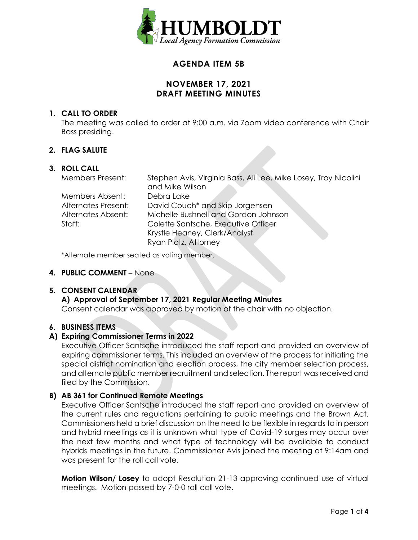

# **AGENDA ITEM 5B**

# **NOVEMBER 17, 2021 DRAFT MEETING MINUTES**

### **1. CALL TO ORDER**

The meeting was called to order at 9:00 a.m. via Zoom video conference with Chair Bass presiding.

### **2. FLAG SALUTE**

### **3. ROLL CALL**

| <b>Members Present:</b> | Stephen Avis, Virginia Bass, Ali Lee, Mike Losey, Troy Nicolini<br>and Mike Wilson |
|-------------------------|------------------------------------------------------------------------------------|
| Members Absent:         | Debra Lake                                                                         |
| Alternates Present:     | David Couch <sup>*</sup> and Skip Jorgensen                                        |
| Alternates Absent:      | Michelle Bushnell and Gordon Johnson                                               |
| Staff:                  | Colette Santsche, Executive Officer                                                |
|                         | Krystle Heaney, Clerk/Analyst                                                      |
|                         | Ryan Plotz, Attorney                                                               |

\*Alternate member seated as voting member.

### **4. PUBLIC COMMENT** – None

### **5. CONSENT CALENDAR**

# **A) Approval of September 17, 2021 Regular Meeting Minutes**

Consent calendar was approved by motion of the chair with no objection.

### **6. BUSINESS ITEMS**

### **A) Expiring Commissioner Terms in 2022**

Executive Officer Santsche introduced the staff report and provided an overview of expiring commissioner terms. This included an overview of the process for initiating the special district nomination and election process, the city member selection process, and alternate public member recruitment and selection. The report was received and filed by the Commission.

### **B) AB 361 for Continued Remote Meetings**

Executive Officer Santsche introduced the staff report and provided an overview of the current rules and regulations pertaining to public meetings and the Brown Act. Commissioners held a brief discussion on the need to be flexible in regards to in person and hybrid meetings as it is unknown what type of Covid-19 surges may occur over the next few months and what type of technology will be available to conduct hybrids meetings in the future. Commissioner Avis joined the meeting at 9:14am and was present for the roll call vote.

**Motion Wilson/ Losey** to adopt Resolution 21-13 approving continued use of virtual meetings. Motion passed by 7-0-0 roll call vote.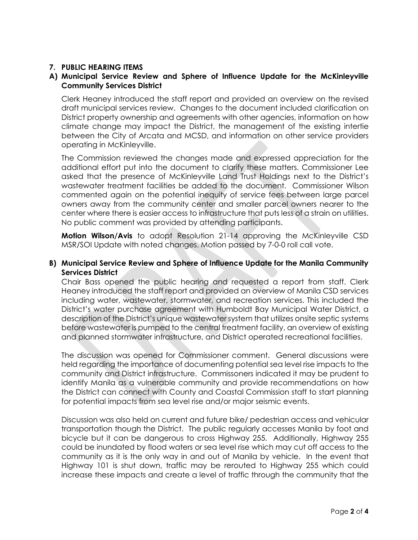# **7. PUBLIC HEARING ITEMS**

# **A) Municipal Service Review and Sphere of Influence Update for the McKinleyville Community Services District**

Clerk Heaney introduced the staff report and provided an overview on the revised draft municipal services review. Changes to the document included clarification on District property ownership and agreements with other agencies, information on how climate change may impact the District, the management of the existing intertie between the City of Arcata and MCSD, and information on other service providers operating in McKinleyville.

The Commission reviewed the changes made and expressed appreciation for the additional effort put into the document to clarify these matters. Commissioner Lee asked that the presence of McKinleyville Land Trust Holdings next to the District's wastewater treatment facilities be added to the document. Commissioner Wilson commented again on the potential inequity of service fees between large parcel owners away from the community center and smaller parcel owners nearer to the center where there is easier access to infrastructure that puts less of a strain on utilities. No public comment was provided by attending participants.

**Motion Wilson/Avis** to adopt Resolution 21-14 approving the McKinleyville CSD MSR/SOI Update with noted changes. Motion passed by 7-0-0 roll call vote.

### **B) Municipal Service Review and Sphere of Influence Update for the Manila Community Services District**

Chair Bass opened the public hearing and requested a report from staff. Clerk Heaney introduced the staff report and provided an overview of Manila CSD services including water, wastewater, stormwater, and recreation services. This included the District's water purchase agreement with Humboldt Bay Municipal Water District, a description of the District's unique wastewater system that utilizes onsite septic systems before wastewater is pumped to the central treatment facility, an overview of existing and planned stormwater infrastructure, and District operated recreational facilities.

The discussion was opened for Commissioner comment. General discussions were held regarding the importance of documenting potential sea level rise impacts to the community and District infrastructure. Commissoners indicated it may be prudent to identify Manila as a vulnerable community and provide recommendations on how the District can connect with County and Coastal Commission staff to start planning for potential impacts from sea level rise and/or major seismic events.

Discussion was also held on current and future bike/ pedestrian access and vehicular transportation though the District. The public regularly accesses Manila by foot and bicycle but it can be dangerous to cross Highway 255. Additionally, Highway 255 could be inundated by flood waters or sea level rise which may cut off access to the community as it is the only way in and out of Manila by vehicle. In the event that Highway 101 is shut down, traffic may be rerouted to Highway 255 which could increase these impacts and create a level of traffic through the community that the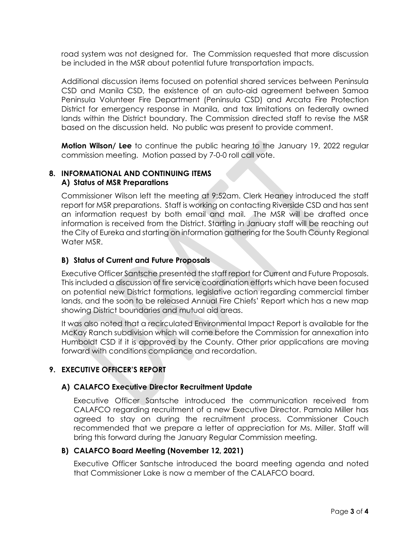road system was not designed for. The Commission requested that more discussion be included in the MSR about potential future transportation impacts.

Additional discussion items focused on potential shared services between Peninsula CSD and Manila CSD, the existence of an auto-aid agreement between Samoa Peninsula Volunteer Fire Department (Peninsula CSD) and Arcata Fire Protection District for emergency response in Manila, and tax limitations on federally owned lands within the District boundary. The Commission directed staff to revise the MSR based on the discussion held. No public was present to provide comment.

**Motion Wilson/ Lee** to continue the public hearing to the January 19, 2022 regular commission meeting. Motion passed by 7-0-0 roll call vote.

# **8. INFORMATIONAL AND CONTINUING ITEMS A) Status of MSR Preparations**

Commissioner Wilson left the meeting at 9:52am. Clerk Heaney introduced the staff report for MSR preparations. Staff is working on contacting Riverside CSD and has sent an information request by both email and mail. The MSR will be drafted once information is received from the District. Starting in January staff will be reaching out the City of Eureka and starting on information gathering for the South County Regional Water MSR.

### **B) Status of Current and Future Proposals**

Executive Officer Santsche presented the staff report for Current and Future Proposals. This included a discussion of fire service coordination efforts which have been focused on potential new District formations, legislative action regarding commercial timber lands, and the soon to be released Annual Fire Chiefs' Report which has a new map showing District boundaries and mutual aid areas.

It was also noted that a recirculated Environmental Impact Report is available for the McKay Ranch subdivision which will come before the Commission for annexation into Humboldt CSD if it is approved by the County. Other prior applications are moving forward with conditions compliance and recordation.

# **9. EXECUTIVE OFFICER'S REPORT**

# **A) CALAFCO Executive Director Recruitment Update**

Executive Officer Santsche introduced the communication received from CALAFCO regarding recruitment of a new Executive Director. Pamala Miller has agreed to stay on during the recruitment process. Commissioner Couch recommended that we prepare a letter of appreciation for Ms. Miller. Staff will bring this forward during the January Regular Commission meeting.

### **B) CALAFCO Board Meeting (November 12, 2021)**

Executive Officer Santsche introduced the board meeting agenda and noted that Commissioner Lake is now a member of the CALAFCO board.